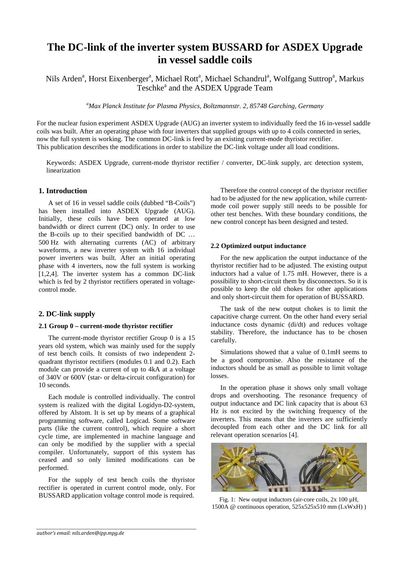# **The DC-link of the inverter system BUSSARD for ASDEX Upgrade in vessel saddle coils**

Nils Arden<sup>a</sup>, Horst Eixenberger<sup>a</sup>, Michael Rott<sup>a</sup>, Michael Schandrul<sup>a</sup>, Wolfgang Suttrop<sup>a</sup>, Markus Teschke<sup>a</sup> and the ASDEX Upgrade Team

*a Max Planck Institute for Plasma Physics, Boltzmannstr. 2, 85748 Garching, Germany*

For the nuclear fusion experiment ASDEX Upgrade (AUG) an inverter system to individually feed the 16 in-vessel saddle coils was built. After an operating phase with four inverters that supplied groups with up to 4 coils connected in series, now the full system is working. The common DC-link is feed by an existing current-mode thyristor rectifier. This publication describes the modifications in order to stabilize the DC-link voltage under all load conditions.

Keywords: ASDEX Upgrade, current-mode thyristor rectifier / converter, DC-link supply, arc detection system, linearization

# **1. Introduction**

A set of 16 in vessel saddle coils (dubbed "B-Coils") has been installed into ASDEX Upgrade (AUG). Initially, these coils have been operated at low bandwidth or direct current (DC) only. In order to use the B-coils up to their specified bandwidth of DC … 500 Hz with alternating currents (AC) of arbitrary waveforms, a new inverter system with 16 individual power inverters was built. After an initial operating phase with 4 inverters, now the full system is working [1,2,4]. The inverter system has a common DC-link which is fed by 2 thyristor rectifiers operated in voltagecontrol mode.

## **2. DC-link supply**

# **2.1 Group 0 – current-mode thyristor rectifier**

The current-mode thyristor rectifier Group 0 is a 15 years old system, which was mainly used for the supply of test bench coils. It consists of two independent 2 quadrant thyristor rectifiers (modules 0.1 and 0.2). Each module can provide a current of up to 4kA at a voltage of 340V or 600V (star- or delta-circuit configuration) for 10 seconds.

Each module is controlled individually. The control system is realized with the digital Logidyn-D2-system, offered by Alstom. It is set up by means of a graphical programming software, called Logicad. Some software parts (like the current control), which require a short cycle time, are implemented in machine language and can only be modified by the supplier with a special compiler. Unfortunately, support of this system has ceased and so only limited modifications can be performed.

For the supply of test bench coils the thyristor rectifier is operated in current control mode, only. For BUSSARD application voltage control mode is required.

*\_\_\_\_\_\_\_\_\_\_\_\_\_\_\_\_\_\_\_\_\_\_\_\_\_\_\_\_\_\_\_\_\_\_\_\_\_\_\_\_\_\_\_\_\_\_\_\_\_\_\_\_\_\_\_\_\_\_\_\_\_\_\_\_\_\_\_\_\_\_\_\_\_\_\_\_\_\_\_*

Therefore the control concept of the thyristor rectifier had to be adjusted for the new application, while currentmode coil power supply still needs to be possible for other test benches. With these boundary conditions, the new control concept has been designed and tested.

## **2.2 Optimized output inductance**

For the new application the output inductance of the thyristor rectifier had to be adjusted. The existing output inductors had a value of 1.75 mH. However, there is a possibility to short-circuit them by disconnectors. So it is possible to keep the old chokes for other applications and only short-circuit them for operation of BUSSARD.

The task of the new output chokes is to limit the capacitive charge current. On the other hand every serial inductance costs dynamic (di/dt) and reduces voltage stability. Therefore, the inductance has to be chosen carefully.

Simulations showed that a value of 0.1mH seems to be a good compromise. Also the resistance of the inductors should be as small as possible to limit voltage losses.

In the operation phase it shows only small voltage drops and overshooting. The resonance frequency of output inductance and DC link capacity that is about 63 Hz is not excited by the switching frequency of the inverters. This means that the inverters are sufficiently decoupled from each other and the DC link for all relevant operation scenarios [4].



Fig. 1: New output inductors (air-core coils, 2x 100 µH, 1500A @ continuous operation, 525x525x510 mm (LxWxH) )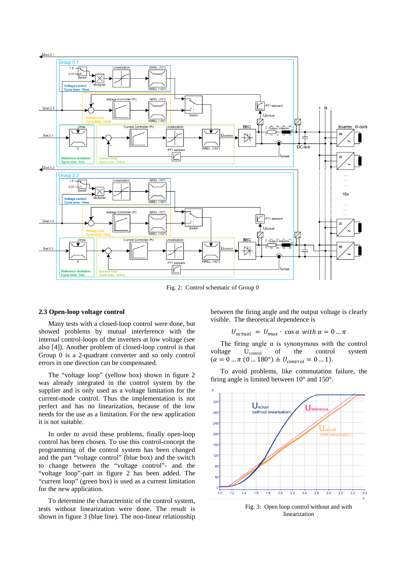

Fig. 2: Control schematic of Group 0

#### **2.3 Open-loop voltage control**

Many tests with a closed-loop control were done, but showed problems by mutual interference with the internal control-loops of the inverters at low voltage (see also [4]). Another problem of closed-loop control is that Group 0 is a 2-quadrant converter and so only control errors in one direction can be compensated.

The "voltage loop" (yellow box) shown in figure 2 was already integrated in the control system by the supplier and is only used as a voltage limitation for the current-mode control. Thus the implementation is not perfect and has no linearization, because of the low needs for the use as a limitation. For the new application it is not suitable.

In order to avoid these problems, finally open-loop control has been chosen. To use this control-concept the programming of the control system has been changed and the part "voltage control" (blue box) and the switch to change between the "voltage control"- and the "voltage loop"-part in figure 2 has been added. The "current loop" (green box) is used as a current limitation for the new application.

To determine the characteristic of the control system, tests without linearization were done. The result is shown in figure 3 (blue line). The non-linear relationship between the firing angle and the output voltage is clearly visible. The theoretical dependence is

# $U_{actual} = U_{max} \cdot \cos \alpha$  with  $\alpha = 0 ... \pi$

The firing angle  $\alpha$  is synonymous with the control voltage Ucontrol of the control system  $(\alpha = 0 \dots \pi (0 \dots 180^\circ) \triangleq U_{control} = 0 \dots 1).$ 

To avoid problems, like commutation failure, the firing angle is limited between 10° and 150°.



Fig. 3: Open loop control without and with linearization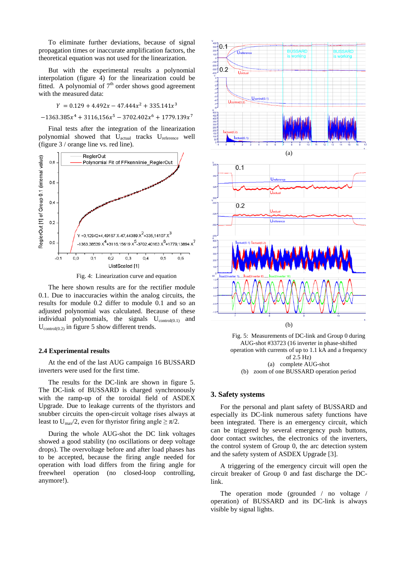To eliminate further deviations, because of signal propagation times or inaccurate amplification factors, the theoretical equation was not used for the linearization.

But with the experimental results a polynomial interpolation (figure 4) for the linearization could be fitted. A polynomial of  $7<sup>th</sup>$  order shows good agreement with the measured data:

$$
Y = 0.129 + 4.492x - 47.444x^2 + 335.141x^3
$$

 $-1363.385x^{4} + 3116.156x^{5} - 3702.402x^{6} + 1779.139x^{7}$ 

Final tests after the integration of the linearization polynomial showed that U<sub>actual</sub> tracks U<sub>reference</sub> well (figure 3 / orange line vs. red line).



Fig. 4: Linearization curve and equation

The here shown results are for the rectifier module 0.1. Due to inaccuracies within the analog circuits, the results for module 0.2 differ to module 0.1 and so an adjusted polynomial was calculated. Because of these individual polynomials, the signals  $U_{control(0,1)}$  and  $U_{control(0.2)}$  in figure 5 show different trends.

### **2.4 Experimental results**

At the end of the last AUG campaign 16 BUSSARD inverters were used for the first time.

The results for the DC-link are shown in figure 5. The DC-link of BUSSARD is charged synchronously with the ramp-up of the toroidal field of ASDEX Upgrade. Due to leakage currents of the thyristors and snubber circuits the open-circuit voltage rises always at least to U<sub>max</sub>/2, even for thyristor firing angle  $\geq \pi/2$ .

During the whole AUG-shot the DC link voltages showed a good stability (no oscillations or deep voltage drops). The overvoltage before and after load phases has to be accepted, because the firing angle needed for operation with load differs from the firing angle for freewheel operation (no closed-loop controlling, anymore!).



Fig. 5: Measurements of DC-link and Group 0 during AUG-shot #33723 (16 inverter in phase-shifted operation with currents of up to 1.1 kA and a frequency of 2.5 Hz) (a) complete AUG-shot (b) zoom of one BUSSARD operation period

# **3. Safety systems**

For the personal and plant safety of BUSSARD and especially its DC-link numerous safety functions have been integrated. There is an emergency circuit, which can be triggered by several emergency push buttons, door contact switches, the electronics of the inverters, the control system of Group 0, the arc detection system and the safety system of ASDEX Upgrade [3].

A triggering of the emergency circuit will open the circuit breaker of Group 0 and fast discharge the DClink.

The operation mode (grounded / no voltage / operation) of BUSSARD and its DC-link is always visible by signal lights.